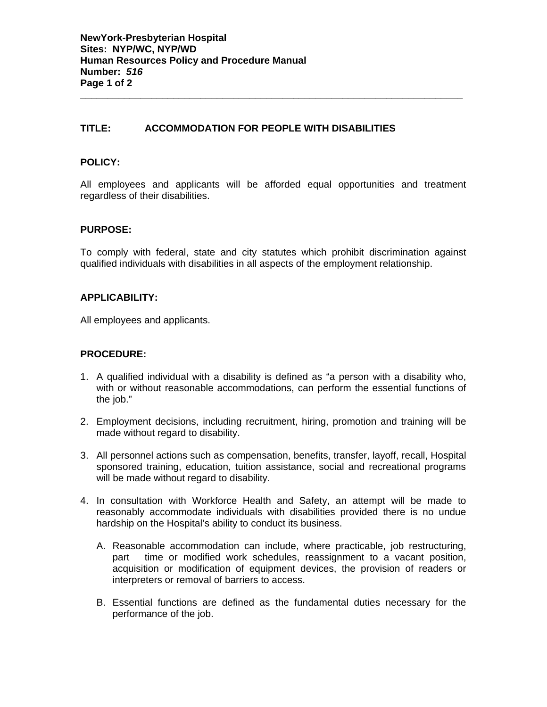## **TITLE: ACCOMMODATION FOR PEOPLE WITH DISABILITIES**

### **POLICY:**

All employees and applicants will be afforded equal opportunities and treatment regardless of their disabilities.

**\_\_\_\_\_\_\_\_\_\_\_\_\_\_\_\_\_\_\_\_\_\_\_\_\_\_\_\_\_\_\_\_\_\_\_\_\_\_\_\_\_\_\_\_\_\_\_\_\_\_\_\_\_\_\_\_\_\_\_\_\_\_\_\_\_\_\_\_\_\_** 

#### **PURPOSE:**

To comply with federal, state and city statutes which prohibit discrimination against qualified individuals with disabilities in all aspects of the employment relationship.

#### **APPLICABILITY:**

All employees and applicants.

#### **PROCEDURE:**

- 1. A qualified individual with a disability is defined as "a person with a disability who, with or without reasonable accommodations, can perform the essential functions of the job."
- 2. Employment decisions, including recruitment, hiring, promotion and training will be made without regard to disability.
- 3. All personnel actions such as compensation, benefits, transfer, layoff, recall, Hospital sponsored training, education, tuition assistance, social and recreational programs will be made without regard to disability.
- 4. In consultation with Workforce Health and Safety, an attempt will be made to reasonably accommodate individuals with disabilities provided there is no undue hardship on the Hospital's ability to conduct its business.
	- A. Reasonable accommodation can include, where practicable, job restructuring, part time or modified work schedules, reassignment to a vacant position, acquisition or modification of equipment devices, the provision of readers or interpreters or removal of barriers to access.
	- B. Essential functions are defined as the fundamental duties necessary for the performance of the job.